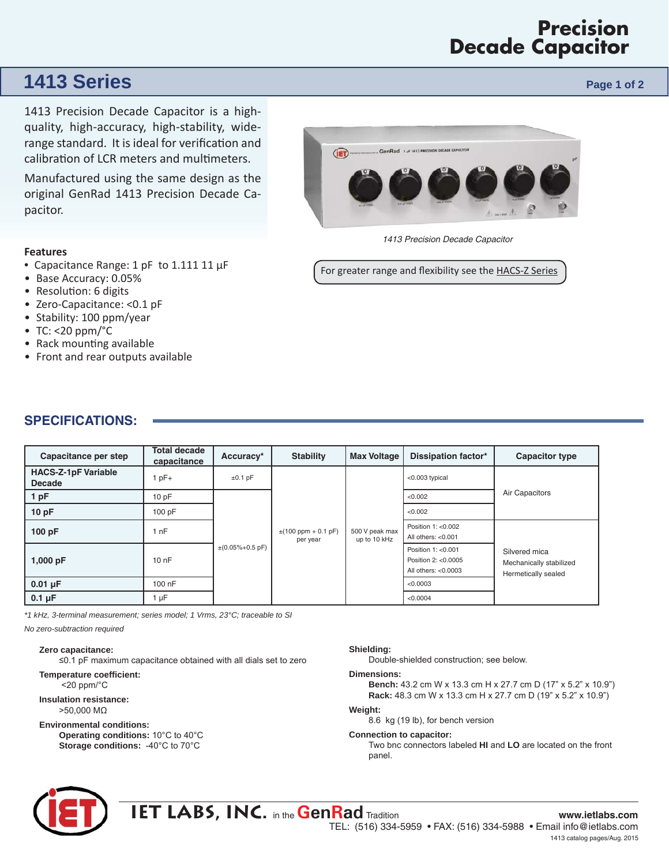# **Precision Decade Capacitor**

# **1413 Series Page 1 of 2 Page 1 of 2 Page 1 of 2**

1413 Precision Decade Capacitor is a highquality, high-accuracy, high-stability, widerange standard. It is ideal for verification and calibration of LCR meters and multimeters.

Manufactured using the same design as the original GenRad 1413 Precision Decade Capacitor.

### **Features**

- Capacitance Range: 1 pF to 1.111 11 μF
- Base Accuracy: 0.05%
- Resolution: 6 digits
- Zero-Capacitance: <0.1 pF
- Stability: 100 ppm/year
- TC: <20  $ppm$ <sup>o</sup>C
- Rack mounting available
- Front and rear outputs available



*1413 Precision Decade Capacitor* 

For greater range and flexibility see the HACS-Z Series

| Capacitance per step                        | <b>Total decade</b><br>capacitance | Accuracy*               | <b>Stability</b>                    | <b>Max Voltage</b>             | <b>Dissipation factor*</b>                                        | <b>Capacitor type</b>                                           |
|---------------------------------------------|------------------------------------|-------------------------|-------------------------------------|--------------------------------|-------------------------------------------------------------------|-----------------------------------------------------------------|
| <b>HACS-Z-1pF Variable</b><br><b>Decade</b> | pF+                                | $\pm 0.1$ pF            | $\pm(100$ ppm + 0.1 pF)<br>per year | 500 V peak max<br>up to 10 kHz | <0.003 typical                                                    | Air Capacitors                                                  |
| 1 pF                                        | 10pF                               | $\pm (0.05\% + 0.5$ pF) |                                     |                                | < 0.002                                                           |                                                                 |
| 10pF                                        | 100 pF                             |                         |                                     |                                | < 0.002                                                           |                                                                 |
| 100 pF                                      | l nF                               |                         |                                     |                                | Position 1: <0.002<br>All others: $< 0.001$                       | Silvered mica<br>Mechanically stabilized<br>Hermetically sealed |
| 1,000 pF                                    | 10nF                               |                         |                                     |                                | Position 1: < 0.001<br>Position 2: <0.0005<br>All others: <0.0003 |                                                                 |
| $0.01 \mu F$                                | 100 nF                             |                         |                                     |                                | < 0.0003                                                          |                                                                 |
| $0.1 \mu F$                                 | uF                                 |                         |                                     |                                | < 0.0004                                                          |                                                                 |

*\*1 kHz, 3-terminal measurement; series model; 1 Vrms, 23°C; traceable to SI*

*No zero-subtraction required* 

**Zero capacitance:** 

≤0.1 pF maximum capacitance obtained with all dials set to zero

**Temperature coefficient:** <20 ppm/°C

**Insulation resistance:**  >50,000 MΩ

#### **Environmental conditions:**

**Operating conditions:** 10°C to 40°C **Storage conditions:** -40°C to 70°C

#### **Shielding:**

Double-shielded construction; see below.

#### **Dimensions:**

**Bench:** 43.2 cm W x 13.3 cm H x 27.7 cm D (17" x 5.2" x 10.9") **Rack:** 48.3 cm W x 13.3 cm H x 27.7 cm D (19" x 5.2" x 10.9")

#### **Weight:**

8.6 kg (19 lb), for bench version

**Connection to capacitor:** 

Two bnc connectors labeled **HI** and **LO** are located on the front panel.



## **IET LABS, INC.** in the **GenRad** Tradition **www.ietlabs.com** TEL: (516) 334-5959 • FAX: (516) 334-5988 • Email info@ietlabs.com 1413 catalog pages/Aug. 2015

## **SPECIFICATIONS:**